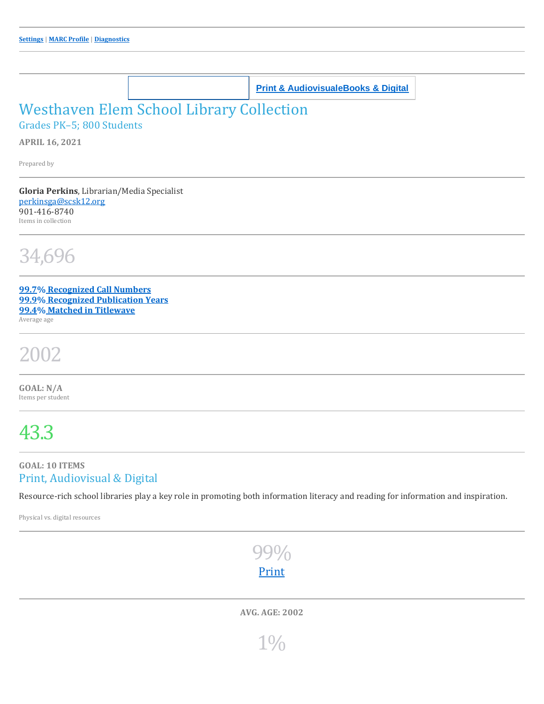**School Library Collection Print & [Audiovisual](https://www.titlewave.com/titlewise/dispsingle?caid=3898239&is_digital=N)[eBooks](https://www.titlewave.com/titlewise/dispsingle?caid=3898239&is_digital=Y) & Digital**

### Westhaven Elem School Library Collection

Grades PK–5; 800 Students

**APRIL 16, 2021**

Prepared by

**Gloria Perkins**, Librarian/Media Specialist [perkinsga@scsk12.org](mailto:perkinsga@scsk12.org) 901-416-8740 Items in collection

34,696

**99.7% [Recognized](https://www.titlewave.com/titlewise/titles?caid=3898239&limiters=diagnostic-unbucketized) Call Numbers 99.9% [Recognized](https://www.titlewave.com/titlewise/titles?caid=3898239&limiters=diagnostic-missing_pub_year) Publication Years 99.4% Matched in [Titlewave](https://www.titlewave.com/titlewise/titles?caid=3898239&limiters=diagnostic-unsinglematched)** Average age

# 2002

**GOAL: N/A** Items per student

## 43.3

#### **GOAL: 10 ITEMS** Print, Audiovisual & Digital

Resource-rich school libraries play a key role in promoting both information literacy and reading for information and inspiration.

Physical vs. digital resources



**AVG. AGE: 2002**

1%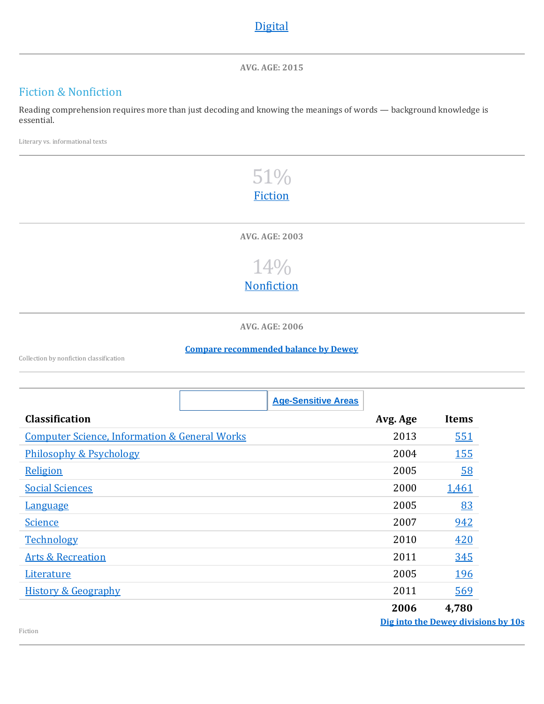#### **[Digital](https://www.titlewave.com/titlewise/titles?caid=3898239&limiters=digital-Y)**

**AVG. AGE: 2015**

#### Fiction & Nonfiction

Reading comprehension requires more than just decoding and knowing the meanings of words — background knowledge is essential.

Literary vs. informational texts

### 51% [Fiction](https://www.titlewave.com/titlewise/titles?caid=3898239&limiters=classifications-F)

**AVG. AGE: 2003**



**AVG. AGE: 2006**

**Compare [recommended](https://www.titlewave.com/titlewise/balanced?caid=3898239) balance by Dewey**

Collection by nonfiction classification

|                                                          | <b>Age-Sensitive Areas</b> |                                     |              |
|----------------------------------------------------------|----------------------------|-------------------------------------|--------------|
| <b>Classification</b>                                    |                            | Avg. Age                            | <b>Items</b> |
| <b>Computer Science, Information &amp; General Works</b> |                            | 2013                                | 551          |
| Philosophy & Psychology                                  |                            | 2004                                | <u>155</u>   |
| Religion                                                 |                            | 2005                                | <u>58</u>    |
| <b>Social Sciences</b>                                   |                            | 2000                                | 1,461        |
| <b>Language</b>                                          |                            | 2005                                | 83           |
| <b>Science</b>                                           |                            | 2007                                | 942          |
| <b>Technology</b>                                        |                            | 2010                                | 420          |
| <b>Arts &amp; Recreation</b>                             |                            | 2011                                | 345          |
| Literature                                               |                            | 2005                                | 196          |
| <b>History &amp; Geography</b>                           |                            | 2011                                | 569          |
|                                                          |                            | 2006                                | 4,780        |
| Fiction                                                  |                            | Dig into the Dewey divisions by 10s |              |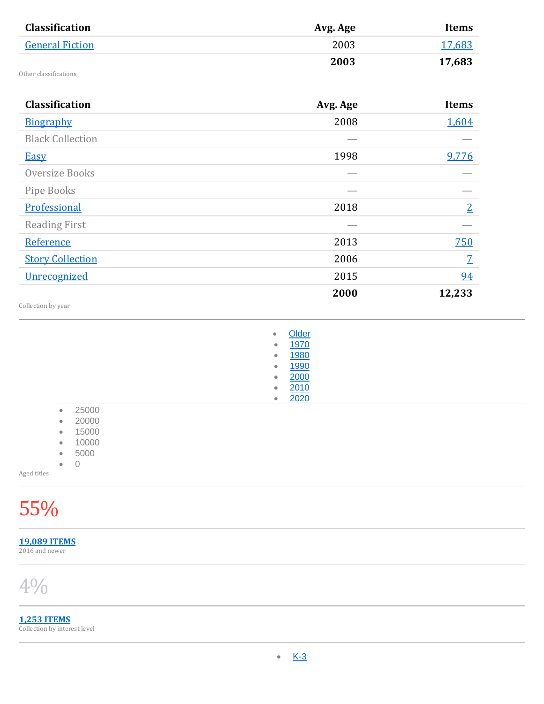| Avg. Age                                                                                                                | <b>Items</b>                      |
|-------------------------------------------------------------------------------------------------------------------------|-----------------------------------|
| 2003                                                                                                                    | 17,683                            |
| 2003                                                                                                                    | 17,683                            |
|                                                                                                                         |                                   |
|                                                                                                                         | Items                             |
|                                                                                                                         | 1,604                             |
|                                                                                                                         |                                   |
|                                                                                                                         | 9,776                             |
|                                                                                                                         |                                   |
|                                                                                                                         |                                   |
| 2018                                                                                                                    | $\overline{2}$                    |
|                                                                                                                         |                                   |
| 2013                                                                                                                    | <u>750</u>                        |
| 2006                                                                                                                    | $\overline{Z}$                    |
| 2015                                                                                                                    | 94                                |
| 2000                                                                                                                    | 12,233                            |
|                                                                                                                         |                                   |
| $\bullet$<br>1970<br>۰<br>1980<br>۰<br>1990<br>$\bullet$<br>2000<br>$\bullet$<br>2010<br>$\bullet$<br>2020<br>$\bullet$ |                                   |
|                                                                                                                         |                                   |
|                                                                                                                         | Avg. Age<br>2008<br>1998<br>Older |

**[19,089](https://www.titlewave.com/titlewise/titles?caid=3898239&limiters=aged-Y) ITEMS** 2016 and newer

4%

**1,253 [ITEMS](https://www.titlewave.com/titlewise/titles?caid=3898239&limiters=recent-Y)** Collection by interest level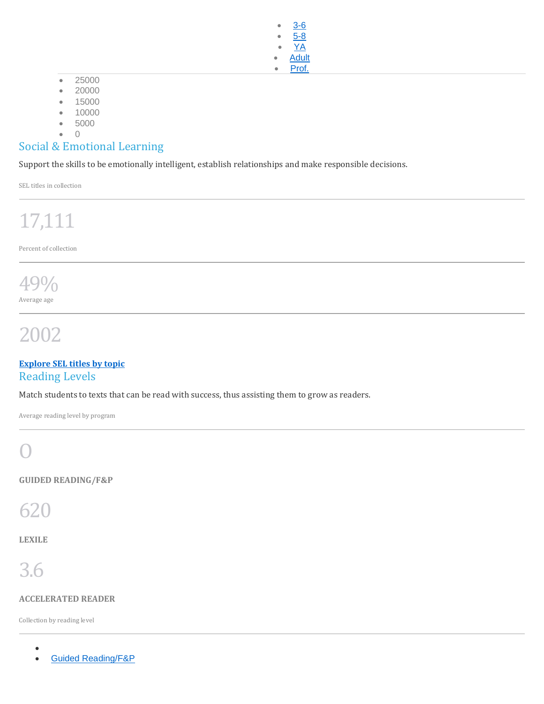• [3-6](https://www.titlewave.com/titlewise/titles?caid=3898239&limiters=interestlevel-3-6)  $5 - 8$ • [YA](https://www.titlewave.com/titlewise/titles?caid=3898239&limiters=interestlevel-YA) **[Adult](https://www.titlewave.com/titlewise/titles?caid=3898239&limiters=interestlevel-AD)** [Prof.](https://www.titlewave.com/titlewise/titles?caid=3898239&limiters=interestlevel-PF)

- 25000
- 20000
- 15000
- 10000
- 5000
- $\sqrt{2}$

#### Social & Emotional Learning

Support the skills to be emotionally intelligent, establish relationships and make responsible decisions.

SEL titles in collection

# 17,111

Percent of collection

#### 49% Average age

# 2002

#### **[Explore](https://www.titlewave.com/titlewise/diversity?caid=3898239&group=2&is_digital=) SEL titles by topic** Reading Levels

Match students to texts that can be read with success, thus assisting them to grow as readers.

Average reading level by program

### O

**GUIDED READING/F&P**

620

**LEXILE**

# 3.6

#### **ACCELERATED READER**

Collection by reading level

- $\bullet$  Follett [Reading](javascript:flip_to() Levels and  $\bullet$
- Guided [Reading/F&P](javascript:flip_to()